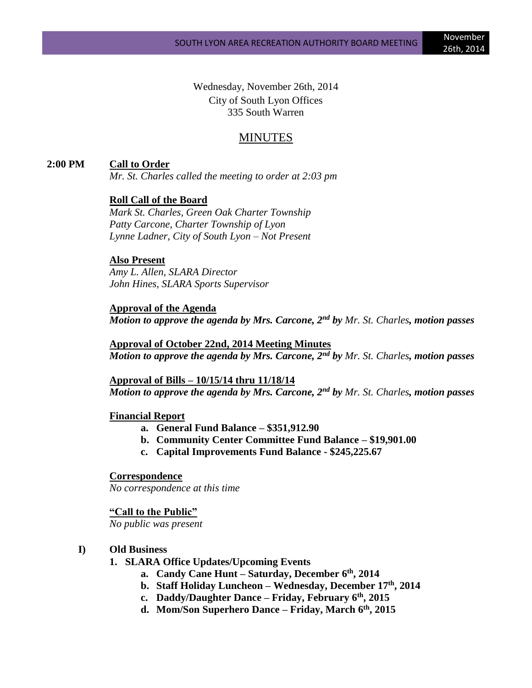Wednesday, November 26th, 2014 City of South Lyon Offices 335 South Warren

# MINUTES

# **2:00 PM Call to Order**

*Mr. St. Charles called the meeting to order at 2:03 pm*

# **Roll Call of the Board**

*Mark St. Charles, Green Oak Charter Township Patty Carcone, Charter Township of Lyon Lynne Ladner, City of South Lyon – Not Present*

#### **Also Present**

*Amy L. Allen, SLARA Director John Hines, SLARA Sports Supervisor*

# **Approval of the Agenda** *Motion to approve the agenda by Mrs. Carcone, 2nd by Mr. St. Charles, motion passes*

**Approval of October 22nd, 2014 Meeting Minutes** *Motion to approve the agenda by Mrs. Carcone, 2nd by Mr. St. Charles, motion passes*

**Approval of Bills – 10/15/14 thru 11/18/14** *Motion to approve the agenda by Mrs. Carcone, 2nd by Mr. St. Charles, motion passes*

#### **Financial Report**

- **a. General Fund Balance – \$351,912.90**
- **b. Community Center Committee Fund Balance – \$19,901.00**
- **c. Capital Improvements Fund Balance - \$245,225.67**

# **Correspondence**

*No correspondence at this time*

**"Call to the Public"** *No public was present*

#### **I) Old Business**

- **1. SLARA Office Updates/Upcoming Events**
	- **a. Candy Cane Hunt – Saturday, December 6th, 2014**
	- **b. Staff Holiday Luncheon – Wednesday, December 17th, 2014**
	- **c. Daddy/Daughter Dance – Friday, February 6th, 2015**
	- **d. Mom/Son Superhero Dance – Friday, March 6th, 2015**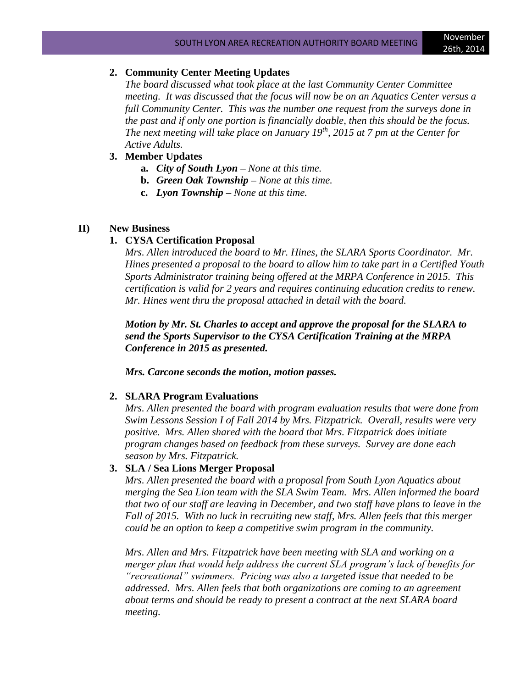#### **2. Community Center Meeting Updates**

*The board discussed what took place at the last Community Center Committee meeting. It was discussed that the focus will now be on an Aquatics Center versus a full Community Center. This was the number one request from the surveys done in the past and if only one portion is financially doable, then this should be the focus. The next meeting will take place on January 19th, 2015 at 7 pm at the Center for Active Adults.*

#### **3. Member Updates**

- **a.** *City of South Lyon – None at this time.*
- **b.** *Green Oak Township – None at this time.*
- **c.** *Lyon Township – None at this time.*

# **II) New Business**

# **1. CYSA Certification Proposal**

*Mrs. Allen introduced the board to Mr. Hines, the SLARA Sports Coordinator. Mr. Hines presented a proposal to the board to allow him to take part in a Certified Youth Sports Administrator training being offered at the MRPA Conference in 2015. This certification is valid for 2 years and requires continuing education credits to renew. Mr. Hines went thru the proposal attached in detail with the board.*

*Motion by Mr. St. Charles to accept and approve the proposal for the SLARA to send the Sports Supervisor to the CYSA Certification Training at the MRPA Conference in 2015 as presented.* 

*Mrs. Carcone seconds the motion, motion passes.*

#### **2. SLARA Program Evaluations**

*Mrs. Allen presented the board with program evaluation results that were done from Swim Lessons Session I of Fall 2014 by Mrs. Fitzpatrick. Overall, results were very positive. Mrs. Allen shared with the board that Mrs. Fitzpatrick does initiate program changes based on feedback from these surveys. Survey are done each season by Mrs. Fitzpatrick.*

#### **3. SLA / Sea Lions Merger Proposal**

*Mrs. Allen presented the board with a proposal from South Lyon Aquatics about merging the Sea Lion team with the SLA Swim Team. Mrs. Allen informed the board that two of our staff are leaving in December, and two staff have plans to leave in the Fall of 2015. With no luck in recruiting new staff, Mrs. Allen feels that this merger could be an option to keep a competitive swim program in the community.* 

*Mrs. Allen and Mrs. Fitzpatrick have been meeting with SLA and working on a merger plan that would help address the current SLA program's lack of benefits for "recreational" swimmers. Pricing was also a targeted issue that needed to be addressed. Mrs. Allen feels that both organizations are coming to an agreement about terms and should be ready to present a contract at the next SLARA board meeting.*